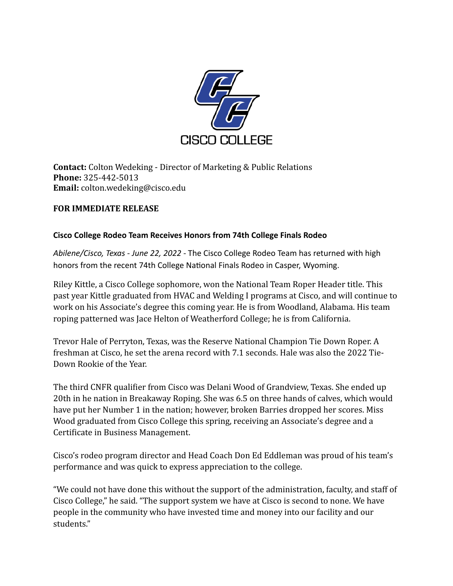

**Contact:** Colton Wedeking - Director of Marketing & Public Relations **Phone:** 325-442-5013 **Email:** colton.wedeking@cisco.edu

## **FOR IMMEDIATE RELEASE**

## **Cisco College Rodeo Team Receives Honors from 74th College Finals Rodeo**

*Abilene/Cisco, Texas - June 22, 2022 -* The Cisco College Rodeo Team has returned with high honors from the recent 74th College National Finals Rodeo in Casper, Wyoming.

Riley Kittle, a Cisco College sophomore, won the National Team Roper Header title. This past year Kittle graduated from HVAC and Welding I programs at Cisco, and will continue to work on his Associate's degree this coming year. He is from Woodland, Alabama. His team roping patterned was Jace Helton of Weatherford College; he is from California.

Trevor Hale of Perryton, Texas, was the Reserve National Champion Tie Down Roper. A freshman at Cisco, he set the arena record with 7.1 seconds. Hale was also the 2022 Tie-Down Rookie of the Year.

The third CNFR qualifier from Cisco was Delani Wood of Grandview, Texas. She ended up 20th in he nation in Breakaway Roping. She was 6.5 on three hands of calves, which would have put her Number 1 in the nation; however, broken Barries dropped her scores. Miss Wood graduated from Cisco College this spring, receiving an Associate's degree and a Certificate in Business Management.

Cisco's rodeo program director and Head Coach Don Ed Eddleman was proud of his team's performance and was quick to express appreciation to the college.

"We could not have done this without the support of the administration, faculty, and staff of Cisco College," he said. "The support system we have at Cisco is second to none. We have people in the community who have invested time and money into our facility and our students."